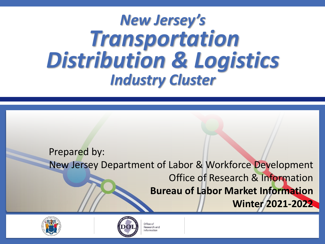# *Transportation New Jersey's Distribution & Logistics Industry Cluster*

Prepared by:

New Jersey Department of Labor & Workforce Development

Office of Research & Information

**Bureau of Labor Market Information**

**Winter 2021-2022**





Office of Research and iformation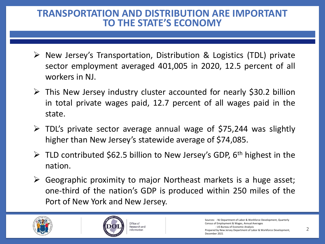#### **TO THE STATE'S ECONOMY TRANSPORTATION AND DISTRIBUTION ARE IMPORTANT**

- ➢ New Jersey's Transportation, Distribution & Logistics (TDL) private sector employment averaged 401,005 in 2020, 12.5 percent of all workers in NJ.
- $\triangleright$  This New Jersey industry cluster accounted for nearly \$30.2 billion in total private wages paid, 12.7 percent of all wages paid in the state.
- $\triangleright$  TDL's private sector average annual wage of \$75,244 was slightly higher than New Jersey's statewide average of \$74,085.
- ▶ TLD contributed \$62.5 billion to New Jersey's GDP, 6<sup>th</sup> highest in the nation.
- $\triangleright$  Geographic proximity to major Northeast markets is a huge asset; one-third of the nation's GDP is produced within 250 miles of the Port of New York and New Jersey.





Sources: - NJ Department of Labor & Workforce Development, Quarterly Census of Employment & Wages, Annual Averages - US Bureau of Economic Analysis Prepared by New Jersey Department of Labor & Workforce Development, December 2021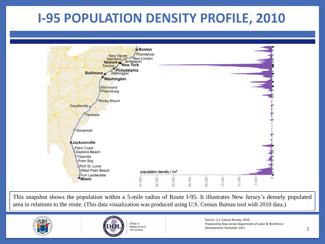# **I-95 POPULATION DENSITY PROFILE, 2010**



This snapshot shows the population within a 5-mile radius of Route I-95. It illustrates New Jersey's densely populated area in relations to the route. (This data visualization was produced using U.S. Census Bureau tool with 2010 data.)





Office of Research and Information

Source: U.S. Census Bureau, 2010 Prepared by New Jersey Department of Labor & Workforce Development, December 2021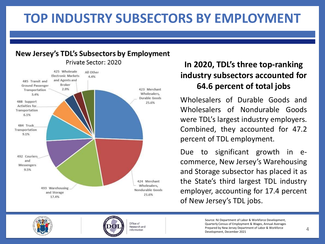# **TOP INDUSTRY SUBSECTORS BY EMPLOYMENT**

#### New Jersey's TDL's Subsectors by Employment Private Sector: 2020



#### **In 2020, TDL's three top-ranking industry subsectors accounted for 64.6 percent of total jobs**

Wholesalers of Durable Goods and Wholesalers of Nondurable Goods were TDL's largest industry employers. Combined, they accounted for 47.2 percent of TDL employment.

Due to significant growth in ecommerce, New Jersey's Warehousing and Storage subsector has placed it as the State's third largest TDL industry employer, accounting for 17.4 percent of New Jersey's TDL jobs.





Office of Research and Information

Source: NJ Department of Labor & Workforce Development, Quarterly Census of Employment & Wages, Annual Averages Prepared by New Jersey Department of Labor & Workforce Development, December 2021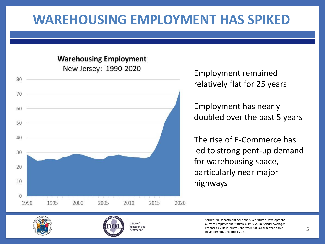### **WAREHOUSING EMPLOYMENT HAS SPIKED**

#### **Warehousing Employment** New Jersey: 1990-2020



Employment remained relatively flat for 25 years

Employment has nearly doubled over the past 5 years

The rise of E-Commerce has led to strong pent-up demand for warehousing space, particularly near major highways





Source: NJ Department of Labor & Workforce Development, Current Employment Statistics, 1990-2020 Annual Averages Prepared by New Jersey Department of Labor & Workforce Development, December 2021 5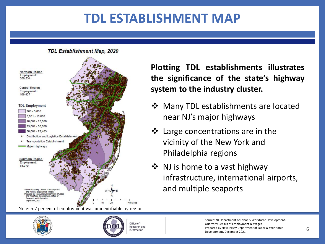# **TDL ESTABLISHMENT MAP**

**TDL Establishment Map, 2020** 



Note: 5.7 percent of employment was unidentifiable by region





Office of Research and Information

**Plotting TDL establishments illustrates the significance of the state's highway system to the industry cluster.**

- ❖ Many TDL establishments are located near NJ's major highways
- ❖ Large concentrations are in the vicinity of the New York and Philadelphia regions
- ❖ NJ is home to a vast highway infrastructure, international airports, and multiple seaports

Source: NJ Department of Labor & Workforce Development, Quarterly Census of Employment & Wages Prepared by New Jersey Department of Labor & Workforce Development, December 2021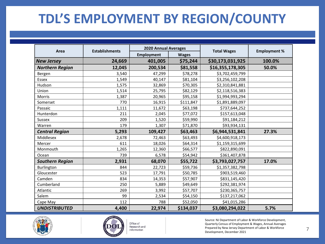# **TDL'S EMPLOYMENT BY REGION/COUNTY**

| Area                   | <b>Establishments</b> | <b>2020 Annual Averages</b> |              |                    |                     |
|------------------------|-----------------------|-----------------------------|--------------|--------------------|---------------------|
|                        |                       | <b>Employment</b>           | <b>Wages</b> | <b>Total Wages</b> | <b>Employment %</b> |
| <b>New Jersey</b>      | 24,669                | 401,005                     | \$75,244     | \$30,173,031,925   | 100.0%              |
| <b>Northern Region</b> | 12,045                | 200,534                     | \$81,558     | \$16,355,178,305   | 50.0%               |
| Bergen                 | 3,540                 | 47,299                      | \$78,278     | \$3,702,459,799    |                     |
| Essex                  | 1,549                 | 40,147                      | \$81,104     | \$3,256,102,208    |                     |
| Hudson                 | 1,575                 | 32,869                      | \$70,305     | \$2,310,841,881    |                     |
| Union                  | 1,514                 | 25,795                      | \$82,129     | \$2,118,516,383    |                     |
| Morris                 | 1,387                 | 20,965                      | \$95,158     | \$1,994,993,294    |                     |
| Somerset               | 770                   | 16,915                      | \$111,847    | \$1,891,889,097    |                     |
| Passaic                | 1,111                 | 11,672                      | \$63,198     | \$737,644,252      |                     |
| Hunterdon              | 211                   | 2,045                       | \$77,072     | \$157,613,048      |                     |
| Sussex                 | 209                   | 1,520                       | \$59,990     | \$91,184,212       |                     |
| Warren                 | 179                   | 1,307                       | \$71,870     | \$93,934,131       |                     |
| <b>Central Region</b>  | 5,293                 | 109,427                     | \$63,463     | \$6,944,531,841    | 27.3%               |
| Middlesex              | 2,678                 | 72,463                      | \$63,493     | \$4,600,918,173    |                     |
| Mercer                 | 611                   | 18,026                      | \$64,314     | \$1,159,315,699    |                     |
| Monmouth               | 1,265                 | 12,360                      | \$66,577     | \$822,890,091      |                     |
| Ocean                  | 739                   | 6,578                       | \$54,942     | \$361,407,878      |                     |
| <b>Southern Region</b> | 2,931                 | 68,070                      | \$55,722     | \$3,793,027,757    | 17.0%               |
| Burlington             | 844                   | 22,723                      | \$59,736     | \$1,357,382,798    |                     |
| Gloucester             | 523                   | 17,791                      | \$50,785     | \$903,519,460      |                     |
| Camden                 | 834                   | 14,353                      | \$57,907     | \$831,145,420      |                     |
| Cumberland             | 250                   | 5,889                       | \$49,649     | \$292,381,974      |                     |
| Atlantic               | 269                   | 3,992                       | \$57,707     | \$230,365,757      |                     |
| Salem                  | 99                    | 2,534                       | \$54,150     | \$137,217,062      |                     |
| Cape May               | 112                   | 788                         | \$52,050     | \$41,015,286       |                     |
| <b>UNDISTRIBUTED</b>   | 4,400                 | 22,974                      | \$134,037    | \$3,080,294,022    | 5.7%                |





Office of Research and Information

Source: NJ Department of Labor & Workforce Development, Quarterly Census of Employment & Wages, Annual Averages Prepared by New Jersey Department of Labor & Workforce Development, December 2021 7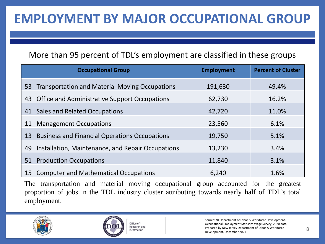# **EMPLOYMENT BY MAJOR OCCUPATIONAL GROUP**

#### More than 95 percent of TDL's employment are classified in these groups

|    | <b>Occupational Group</b>                         | <b>Employment</b> | <b>Percent of Cluster</b> |
|----|---------------------------------------------------|-------------------|---------------------------|
|    | 53 Transportation and Material Moving Occupations | 191,630           | 49.4%                     |
|    | 43 Office and Administrative Support Occupations  | 62,730            | 16.2%                     |
|    | 41 Sales and Related Occupations                  | 42,720            | 11.0%                     |
| 11 | <b>Management Occupations</b>                     | 23,560            | 6.1%                      |
|    | 13 Business and Financial Operations Occupations  | 19,750            | 5.1%                      |
| 49 | Installation, Maintenance, and Repair Occupations | 13,230            | 3.4%                      |
| 51 | <b>Production Occupations</b>                     | 11,840            | 3.1%                      |
| 15 | <b>Computer and Mathematical Occupations</b>      | 6,240             | 1.6%                      |

The transportation and material moving occupational group accounted for the greatest proportion of jobs in the TDL industry cluster attributing towards nearly half of TDL's total employment.





Source: NJ Department of Labor & Workforce Development, Occupational Employment Statistics Wage Survey, 2020 data Prepared by New Jersey Department of Labor & Workforce Development, December 2021 8